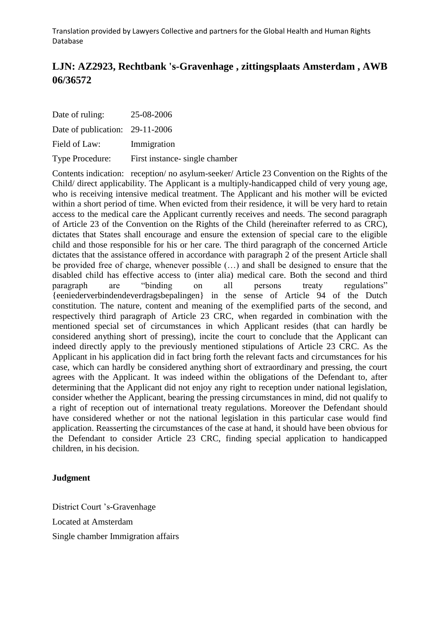# **LJN: AZ2923, Rechtbank 's-Gravenhage , zittingsplaats Amsterdam , AWB 06/36572**

| Date of ruling:                 | 25-08-2006                     |
|---------------------------------|--------------------------------|
| Date of publication: 29-11-2006 |                                |
| Field of Law:                   | Immigration                    |
| <b>Type Procedure:</b>          | First instance- single chamber |

Contents indication: reception/ no asylum-seeker/ Article 23 Convention on the Rights of the Child/ direct applicability. The Applicant is a multiply-handicapped child of very young age, who is receiving intensive medical treatment. The Applicant and his mother will be evicted within a short period of time. When evicted from their residence, it will be very hard to retain access to the medical care the Applicant currently receives and needs. The second paragraph of Article 23 of the Convention on the Rights of the Child (hereinafter referred to as CRC), dictates that States shall encourage and ensure the extension of special care to the eligible child and those responsible for his or her care. The third paragraph of the concerned Article dictates that the assistance offered in accordance with paragraph 2 of the present Article shall be provided free of charge, whenever possible (…) and shall be designed to ensure that the disabled child has effective access to (inter alia) medical care. Both the second and third paragraph are "binding on all persons treaty regulations" {eeniederverbindendeverdragsbepalingen} in the sense of Article 94 of the Dutch constitution. The nature, content and meaning of the exemplified parts of the second, and respectively third paragraph of Article 23 CRC, when regarded in combination with the mentioned special set of circumstances in which Applicant resides (that can hardly be considered anything short of pressing), incite the court to conclude that the Applicant can indeed directly apply to the previously mentioned stipulations of Article 23 CRC. As the Applicant in his application did in fact bring forth the relevant facts and circumstances for his case, which can hardly be considered anything short of extraordinary and pressing, the court agrees with the Applicant. It was indeed within the obligations of the Defendant to, after determining that the Applicant did not enjoy any right to reception under national legislation, consider whether the Applicant, bearing the pressing circumstances in mind, did not qualify to a right of reception out of international treaty regulations. Moreover the Defendant should have considered whether or not the national legislation in this particular case would find application. Reasserting the circumstances of the case at hand, it should have been obvious for the Defendant to consider Article 23 CRC, finding special application to handicapped children, in his decision.

### **Judgment**

District Court 's-Gravenhage Located at Amsterdam Single chamber Immigration affairs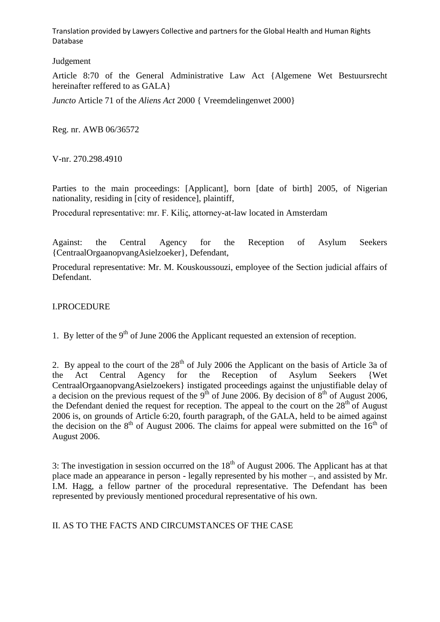## Judgement

Article 8:70 of the General Administrative Law Act {Algemene Wet Bestuursrecht hereinafter reffered to as GALA}

*Juncto* Article 71 of the *Aliens Act* 2000 { Vreemdelingenwet 2000}

Reg. nr. AWB 06/36572

V-nr. 270.298.4910

Parties to the main proceedings: [Applicant], born [date of birth] 2005, of Nigerian nationality, residing in [city of residence], plaintiff,

Procedural representative: mr. F. Kiliς, attorney-at-law located in Amsterdam

Against: the Central Agency for the Reception of Asylum Seekers {CentraalOrgaanopvangAsielzoeker}, Defendant,

Procedural representative: Mr. M. Kouskoussouzi, employee of the Section judicial affairs of Defendant.

## I.PROCEDURE

1. By letter of the  $9<sup>th</sup>$  of June 2006 the Applicant requested an extension of reception.

2. By appeal to the court of the  $28<sup>th</sup>$  of July 2006 the Applicant on the basis of Article 3a of the Act Central Agency for the Reception of Asylum Seekers {Wet CentraalOrgaanopvangAsielzoekers} instigated proceedings against the unjustifiable delay of a decision on the previous request of the 9<sup>th</sup> of June 2006. By decision of  $8<sup>th</sup>$  of August 2006, the Defendant denied the request for reception. The appeal to the court on the  $28<sup>th</sup>$  of August 2006 is, on grounds of Article 6:20, fourth paragraph, of the GALA, held to be aimed against the decision on the  $8<sup>th</sup>$  of August 2006. The claims for appeal were submitted on the  $16<sup>th</sup>$  of August 2006.

3: The investigation in session occurred on the  $18<sup>th</sup>$  of August 2006. The Applicant has at that place made an appearance in person - legally represented by his mother –, and assisted by Mr. I.M. Hagg, a fellow partner of the procedural representative. The Defendant has been represented by previously mentioned procedural representative of his own.

# II. AS TO THE FACTS AND CIRCUMSTANCES OF THE CASE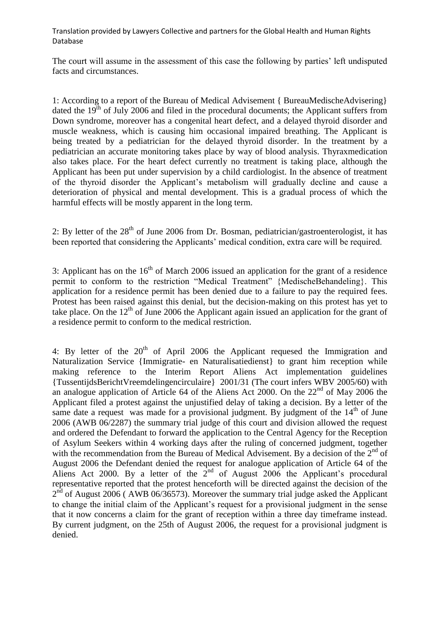The court will assume in the assessment of this case the following by parties' left undisputed facts and circumstances.

1: According to a report of the Bureau of Medical Advisement { BureauMedischeAdvisering} dated the  $19<sup>th</sup>$  of July 2006 and filed in the procedural documents; the Applicant suffers from Down syndrome, moreover has a congenital heart defect, and a delayed thyroid disorder and muscle weakness, which is causing him occasional impaired breathing. The Applicant is being treated by a pediatrician for the delayed thyroid disorder. In the treatment by a pediatrician an accurate monitoring takes place by way of blood analysis. Thyraxmedication also takes place. For the heart defect currently no treatment is taking place, although the Applicant has been put under supervision by a child cardiologist. In the absence of treatment of the thyroid disorder the Applicant's metabolism will gradually decline and cause a deterioration of physical and mental development. This is a gradual process of which the harmful effects will be mostly apparent in the long term.

2: By letter of the  $28<sup>th</sup>$  of June 2006 from Dr. Bosman, pediatrician/gastroenterologist, it has been reported that considering the Applicants' medical condition, extra care will be required.

3: Applicant has on the  $16<sup>th</sup>$  of March 2006 issued an application for the grant of a residence permit to conform to the restriction "Medical Treatment" {MedischeBehandeling}. This application for a residence permit has been denied due to a failure to pay the required fees. Protest has been raised against this denial, but the decision-making on this protest has yet to take place. On the  $12<sup>th</sup>$  of June 2006 the Applicant again issued an application for the grant of a residence permit to conform to the medical restriction.

4: By letter of the  $20<sup>th</sup>$  of April 2006 the Applicant requesed the Immigration and Naturalization Service {Immigratie- en Naturalisatiedienst} to grant him reception while making reference to the Interim Report Aliens Act implementation guidelines {TussentijdsBerichtVreemdelingencirculaire} 2001/31 (The court infers WBV 2005/60) with an analogue application of Article 64 of the Aliens Act 2000. On the  $22<sup>nd</sup>$  of May 2006 the Applicant filed a protest against the unjustified delay of taking a decision. By a letter of the same date a request was made for a provisional judgment. By judgment of the  $14<sup>th</sup>$  of June 2006 (AWB 06/2287) the summary trial judge of this court and division allowed the request and ordered the Defendant to forward the application to the Central Agency for the Reception of Asylum Seekers within 4 working days after the ruling of concerned judgment, together with the recommendation from the Bureau of Medical Advisement. By a decision of the  $2<sup>nd</sup>$  of August 2006 the Defendant denied the request for analogue application of Article 64 of the Aliens Act 2000. By a letter of the  $2^{nd}$  of August 2006 the Applicant's procedural representative reported that the protest henceforth will be directed against the decision of the  $2<sup>nd</sup>$  of August 2006 (AWB 06/36573). Moreover the summary trial judge asked the Applicant to change the initial claim of the Applicant's request for a provisional judgment in the sense that it now concerns a claim for the grant of reception within a three day timeframe instead. By current judgment, on the 25th of August 2006, the request for a provisional judgment is denied.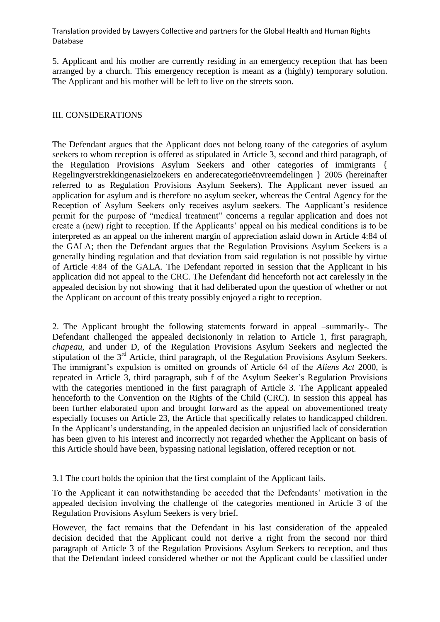5. Applicant and his mother are currently residing in an emergency reception that has been arranged by a church. This emergency reception is meant as a (highly) temporary solution. The Applicant and his mother will be left to live on the streets soon.

# III. CONSIDERATIONS

The Defendant argues that the Applicant does not belong toany of the categories of asylum seekers to whom reception is offered as stipulated in Article 3, second and third paragraph, of the Regulation Provisions Asylum Seekers and other categories of immigrants { Regelingverstrekkingenasielzoekers en anderecategorieënvreemdelingen } 2005 (hereinafter referred to as Regulation Provisions Asylum Seekers). The Applicant never issued an application for asylum and is therefore no asylum seeker, whereas the Central Agency for the Reception of Asylum Seekers only receives asylum seekers. The Aapplicant's residence permit for the purpose of "medical treatment" concerns a regular application and does not create a (new) right to reception. If the Applicants' appeal on his medical conditions is to be interpreted as an appeal on the inherent margin of appreciation aslaid down in Article 4:84 of the GALA; then the Defendant argues that the Regulation Provisions Asylum Seekers is a generally binding regulation and that deviation from said regulation is not possible by virtue of Article 4:84 of the GALA. The Defendant reported in session that the Applicant in his application did not appeal to the CRC. The Defendant did henceforth not act carelessly in the appealed decision by not showing that it had deliberated upon the question of whether or not the Applicant on account of this treaty possibly enjoyed a right to reception.

2. The Applicant brought the following statements forward in appeal –summarily-. The Defendant challenged the appealed decisiononly in relation to Article 1, first paragraph, *chapeau*, and under D, of the Regulation Provisions Asylum Seekers and neglected the stipulation of the 3<sup>rd</sup> Article, third paragraph, of the Regulation Provisions Asylum Seekers. The immigrant's expulsion is omitted on grounds of Article 64 of the *Aliens Act* 2000, is repeated in Article 3, third paragraph, sub f of the Asylum Seeker's Regulation Provisions with the categories mentioned in the first paragraph of Article 3. The Applicant appealed henceforth to the Convention on the Rights of the Child (CRC). In session this appeal has been further elaborated upon and brought forward as the appeal on abovementioned treaty especially focuses on Article 23, the Article that specifically relates to handicapped children. In the Applicant's understanding, in the appealed decision an unjustified lack of consideration has been given to his interest and incorrectly not regarded whether the Applicant on basis of this Article should have been, bypassing national legislation, offered reception or not.

3.1 The court holds the opinion that the first complaint of the Applicant fails.

To the Applicant it can notwithstanding be acceded that the Defendants' motivation in the appealed decision involving the challenge of the categories mentioned in Article 3 of the Regulation Provisions Asylum Seekers is very brief.

However, the fact remains that the Defendant in his last consideration of the appealed decision decided that the Applicant could not derive a right from the second nor third paragraph of Article 3 of the Regulation Provisions Asylum Seekers to reception, and thus that the Defendant indeed considered whether or not the Applicant could be classified under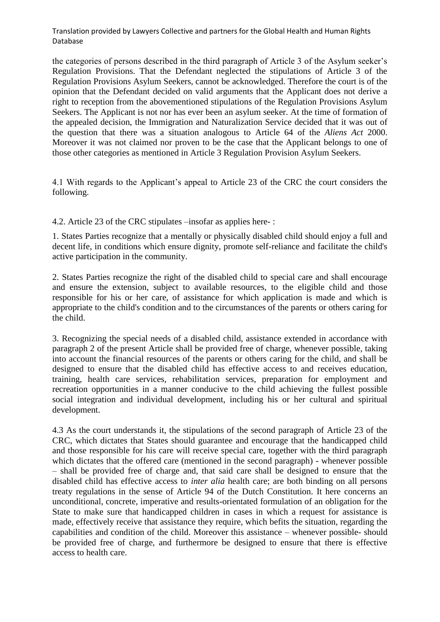the categories of persons described in the third paragraph of Article 3 of the Asylum seeker's Regulation Provisions. That the Defendant neglected the stipulations of Article 3 of the Regulation Provisions Asylum Seekers, cannot be acknowledged. Therefore the court is of the opinion that the Defendant decided on valid arguments that the Applicant does not derive a right to reception from the abovementioned stipulations of the Regulation Provisions Asylum Seekers. The Applicant is not nor has ever been an asylum seeker. At the time of formation of the appealed decision, the Immigration and Naturalization Service decided that it was out of the question that there was a situation analogous to Article 64 of the *Aliens Act* 2000. Moreover it was not claimed nor proven to be the case that the Applicant belongs to one of those other categories as mentioned in Article 3 Regulation Provision Asylum Seekers.

4.1 With regards to the Applicant's appeal to Article 23 of the CRC the court considers the following.

4.2. Article 23 of the CRC stipulates –insofar as applies here- :

1. States Parties recognize that a mentally or physically disabled child should enjoy a full and decent life, in conditions which ensure dignity, promote self-reliance and facilitate the child's active participation in the community.

2. States Parties recognize the right of the disabled child to special care and shall encourage and ensure the extension, subject to available resources, to the eligible child and those responsible for his or her care, of assistance for which application is made and which is appropriate to the child's condition and to the circumstances of the parents or others caring for the child.

3. Recognizing the special needs of a disabled child, assistance extended in accordance with paragraph 2 of the present Article shall be provided free of charge, whenever possible, taking into account the financial resources of the parents or others caring for the child, and shall be designed to ensure that the disabled child has effective access to and receives education, training, health care services, rehabilitation services, preparation for employment and recreation opportunities in a manner conducive to the child achieving the fullest possible social integration and individual development, including his or her cultural and spiritual development.

4.3 As the court understands it, the stipulations of the second paragraph of Article 23 of the CRC, which dictates that States should guarantee and encourage that the handicapped child and those responsible for his care will receive special care, together with the third paragraph which dictates that the offered care (mentioned in the second paragraph) - whenever possible – shall be provided free of charge and, that said care shall be designed to ensure that the disabled child has effective access to *inter alia* health care; are both binding on all persons treaty regulations in the sense of Article 94 of the Dutch Constitution. It here concerns an unconditional, concrete, imperative and results-orientated formulation of an obligation for the State to make sure that handicapped children in cases in which a request for assistance is made, effectively receive that assistance they require, which befits the situation, regarding the capabilities and condition of the child. Moreover this assistance – whenever possible- should be provided free of charge, and furthermore be designed to ensure that there is effective access to health care.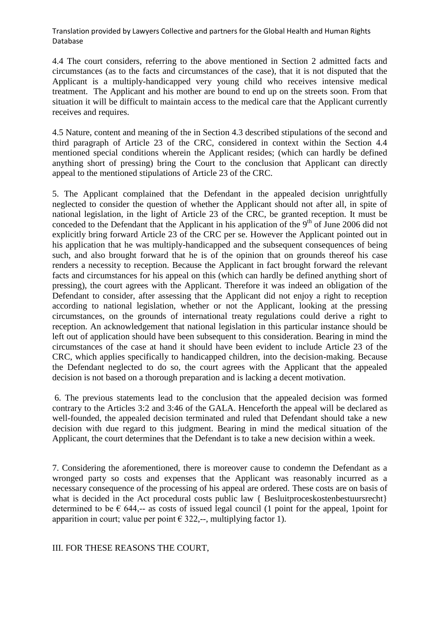4.4 The court considers, referring to the above mentioned in Section 2 admitted facts and circumstances (as to the facts and circumstances of the case), that it is not disputed that the Applicant is a multiply-handicapped very young child who receives intensive medical treatment. The Applicant and his mother are bound to end up on the streets soon. From that situation it will be difficult to maintain access to the medical care that the Applicant currently receives and requires.

4.5 Nature, content and meaning of the in Section 4.3 described stipulations of the second and third paragraph of Article 23 of the CRC, considered in context within the Section 4.4 mentioned special conditions wherein the Applicant resides; (which can hardly be defined anything short of pressing) bring the Court to the conclusion that Applicant can directly appeal to the mentioned stipulations of Article 23 of the CRC.

5. The Applicant complained that the Defendant in the appealed decision unrightfully neglected to consider the question of whether the Applicant should not after all, in spite of national legislation, in the light of Article 23 of the CRC, be granted reception. It must be conceded to the Defendant that the Applicant in his application of the  $9<sup>th</sup>$  of June 2006 did not explicitly bring forward Article 23 of the CRC per se. However the Applicant pointed out in his application that he was multiply-handicapped and the subsequent consequences of being such, and also brought forward that he is of the opinion that on grounds thereof his case renders a necessity to reception. Because the Applicant in fact brought forward the relevant facts and circumstances for his appeal on this (which can hardly be defined anything short of pressing), the court agrees with the Applicant. Therefore it was indeed an obligation of the Defendant to consider, after assessing that the Applicant did not enjoy a right to reception according to national legislation, whether or not the Applicant, looking at the pressing circumstances, on the grounds of international treaty regulations could derive a right to reception. An acknowledgement that national legislation in this particular instance should be left out of application should have been subsequent to this consideration. Bearing in mind the circumstances of the case at hand it should have been evident to include Article 23 of the CRC, which applies specifically to handicapped children, into the decision-making. Because the Defendant neglected to do so, the court agrees with the Applicant that the appealed decision is not based on a thorough preparation and is lacking a decent motivation.

6. The previous statements lead to the conclusion that the appealed decision was formed contrary to the Articles 3:2 and 3:46 of the GALA. Henceforth the appeal will be declared as well-founded, the appealed decision terminated and ruled that Defendant should take a new decision with due regard to this judgment. Bearing in mind the medical situation of the Applicant, the court determines that the Defendant is to take a new decision within a week.

7. Considering the aforementioned, there is moreover cause to condemn the Defendant as a wronged party so costs and expenses that the Applicant was reasonably incurred as a necessary consequence of the processing of his appeal are ordered. These costs are on basis of what is decided in the Act procedural costs public law { Besluit process kostenbestuurs recht} determined to be  $\epsilon$  644,-- as costs of issued legal council (1 point for the appeal, 1 point for apparition in court; value per point  $\epsilon$  322,--, multiplying factor 1).

III. FOR THESE REASONS THE COURT,